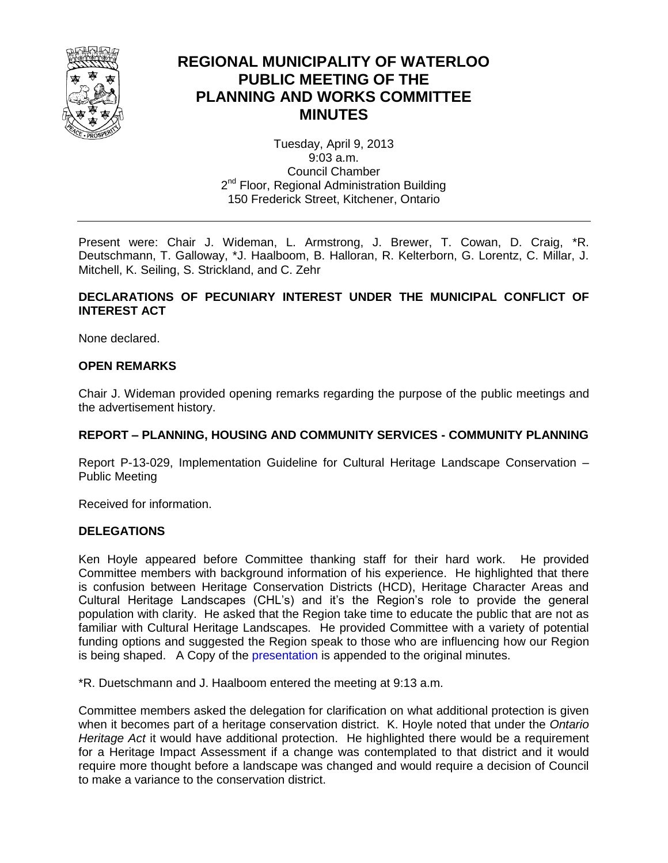

# **REGIONAL MUNICIPALITY OF WATERLOO PUBLIC MEETING OF THE PLANNING AND WORKS COMMITTEE MINUTES**

Tuesday, April 9, 2013 9:03 a.m. Council Chamber 2<sup>nd</sup> Floor, Regional Administration Building 150 Frederick Street, Kitchener, Ontario

Present were: Chair J. Wideman, L. Armstrong, J. Brewer, T. Cowan, D. Craig, \*R. Deutschmann, T. Galloway, \*J. Haalboom, B. Halloran, R. Kelterborn, G. Lorentz, C. Millar, J. Mitchell, K. Seiling, S. Strickland, and C. Zehr

## **DECLARATIONS OF PECUNIARY INTEREST UNDER THE MUNICIPAL CONFLICT OF INTEREST ACT**

None declared.

## **OPEN REMARKS**

Chair J. Wideman provided opening remarks regarding the purpose of the public meetings and the advertisement history.

## **REPORT – PLANNING, HOUSING AND COMMUNITY SERVICES - COMMUNITY PLANNING**

Report P-13-029, Implementation Guideline for Cultural Heritage Landscape Conservation – Public Meeting

Received for information.

#### **DELEGATIONS**

Ken Hoyle appeared before Committee thanking staff for their hard work. He provided Committee members with background information of his experience. He highlighted that there is confusion between Heritage Conservation Districts (HCD), Heritage Character Areas and Cultural Heritage Landscapes (CHL's) and it's the Region's role to provide the general population with clarity. He asked that the Region take time to educate the public that are not as familiar with Cultural Heritage Landscapes. He provided Committee with a variety of potential funding options and suggested the Region speak to those who are influencing how our Region is being shaped. A Copy of th[e presentation is](#page-2-0) appended to the original minutes.

\*R. Duetschmann and J. Haalboom entered the meeting at 9:13 a.m.

Committee members asked the delegation for clarification on what additional protection is given when it becomes part of a heritage conservation district. K. Hoyle noted that under the *Ontario Heritage Act* it would have additional protection. He highlighted there would be a requirement for a Heritage Impact Assessment if a change was contemplated to that district and it would require more thought before a landscape was changed and would require a decision of Council to make a variance to the conservation district.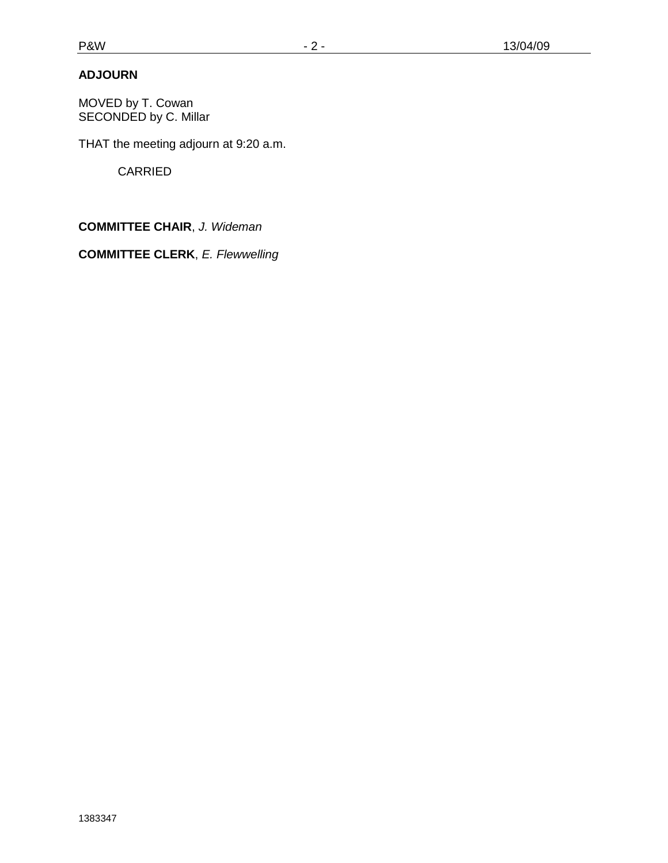# **ADJOURN**

MOVED by T. Cowan SECONDED by C. Millar

THAT the meeting adjourn at 9:20 a.m.

CARRIED

**COMMITTEE CHAIR**, *J. Wideman*

**COMMITTEE CLERK**, *E. Flewwelling*